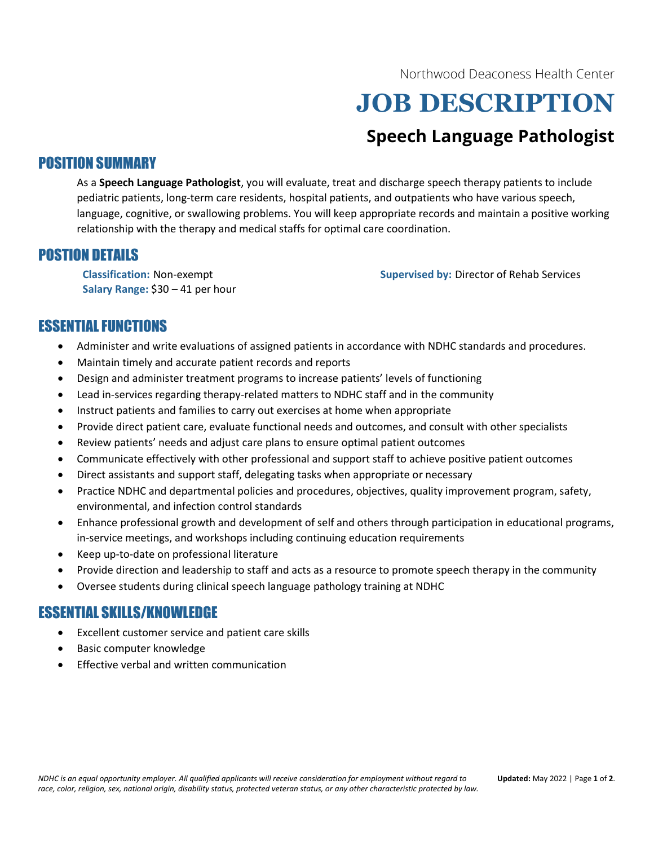Northwood Deaconess Health Center

# JOB DESCRIPTION

# Speech Language Pathologist

# POSITION SUMMARY

As a Speech Language Pathologist, you will evaluate, treat and discharge speech therapy patients to include pediatric patients, long-term care residents, hospital patients, and outpatients who have various speech, language, cognitive, or swallowing problems. You will keep appropriate records and maintain a positive working relationship with the therapy and medical staffs for optimal care coordination.

# POSTION DETAILS

Salary Range: \$30 – 41 per hour

Classification: Non-exempt Supervised by: Director of Rehab Services

# ESSENTIAL FUNCTIONS

- Administer and write evaluations of assigned patients in accordance with NDHC standards and procedures.
- Maintain timely and accurate patient records and reports
- Design and administer treatment programs to increase patients' levels of functioning
- Lead in-services regarding therapy-related matters to NDHC staff and in the community
- Instruct patients and families to carry out exercises at home when appropriate
- Provide direct patient care, evaluate functional needs and outcomes, and consult with other specialists
- Review patients' needs and adjust care plans to ensure optimal patient outcomes
- Communicate effectively with other professional and support staff to achieve positive patient outcomes
- Direct assistants and support staff, delegating tasks when appropriate or necessary
- Practice NDHC and departmental policies and procedures, objectives, quality improvement program, safety, environmental, and infection control standards
- Enhance professional growth and development of self and others through participation in educational programs, in-service meetings, and workshops including continuing education requirements
- Keep up-to-date on professional literature
- Provide direction and leadership to staff and acts as a resource to promote speech therapy in the community
- Oversee students during clinical speech language pathology training at NDHC

# ESSENTIAL SKILLS/KNOWLEDGE

- Excellent customer service and patient care skills
- Basic computer knowledge
- Effective verbal and written communication